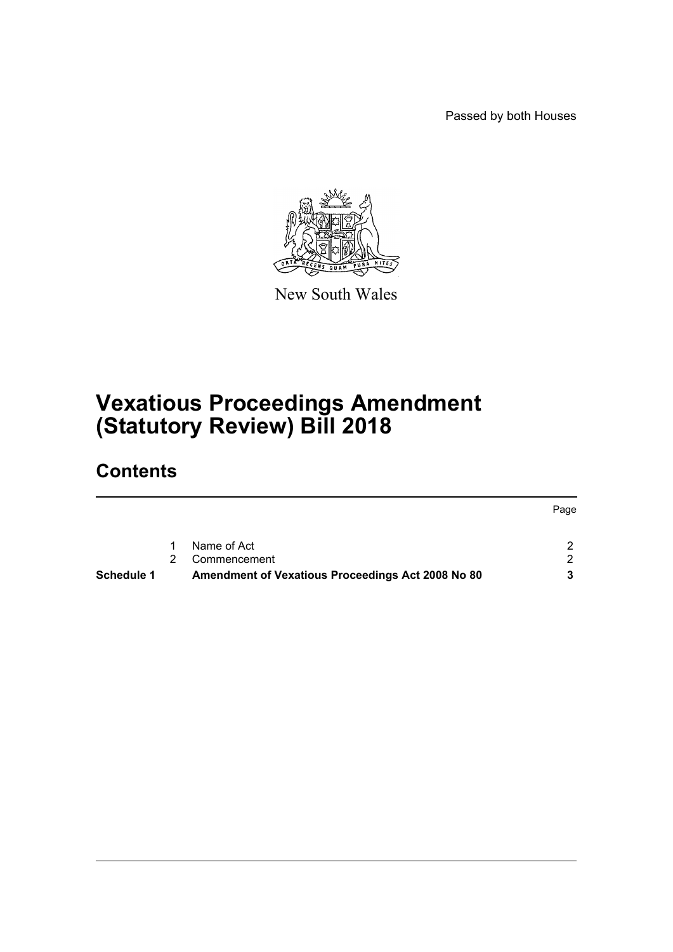Passed by both Houses



New South Wales

# **Vexatious Proceedings Amendment (Statutory Review) Bill 2018**

# **Contents**

|            |                                                   | Page |
|------------|---------------------------------------------------|------|
|            | Name of Act                                       |      |
|            | Commencement                                      |      |
| Schedule 1 | Amendment of Vexatious Proceedings Act 2008 No 80 |      |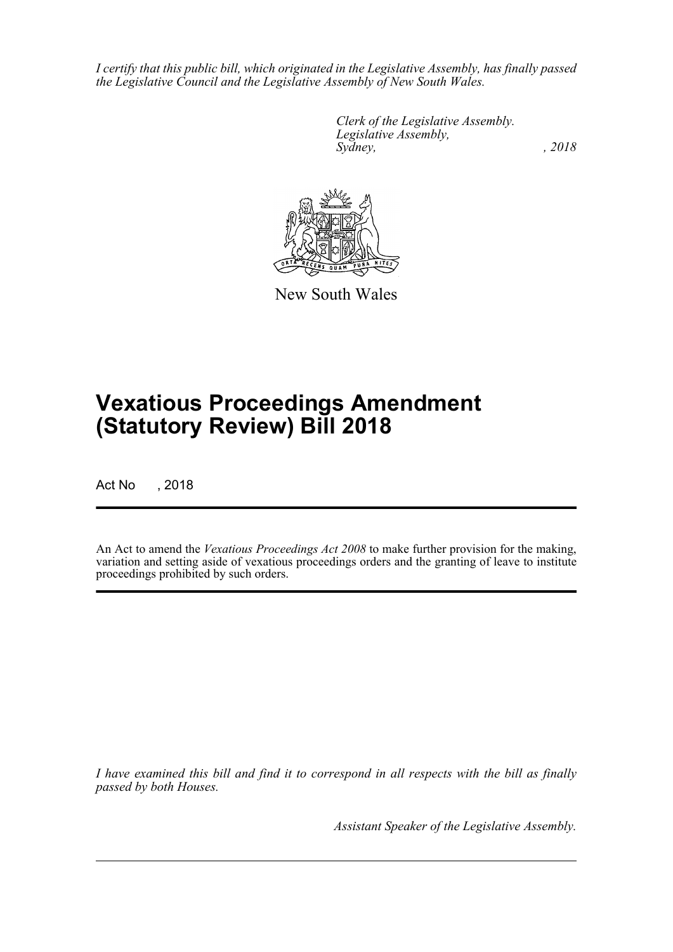*I certify that this public bill, which originated in the Legislative Assembly, has finally passed the Legislative Council and the Legislative Assembly of New South Wales.*

> *Clerk of the Legislative Assembly. Legislative Assembly, Sydney, , 2018*



New South Wales

# **Vexatious Proceedings Amendment (Statutory Review) Bill 2018**

Act No , 2018

An Act to amend the *Vexatious Proceedings Act 2008* to make further provision for the making, variation and setting aside of vexatious proceedings orders and the granting of leave to institute proceedings prohibited by such orders.

*I have examined this bill and find it to correspond in all respects with the bill as finally passed by both Houses.*

*Assistant Speaker of the Legislative Assembly.*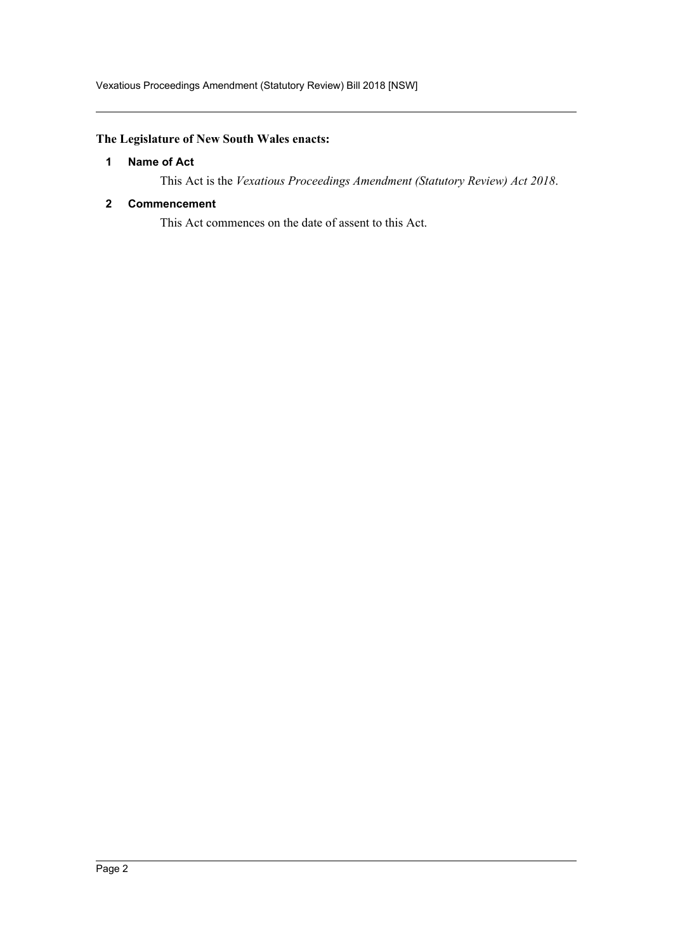## <span id="page-2-0"></span>**The Legislature of New South Wales enacts:**

## **1 Name of Act**

This Act is the *Vexatious Proceedings Amendment (Statutory Review) Act 2018*.

#### <span id="page-2-1"></span>**2 Commencement**

This Act commences on the date of assent to this Act.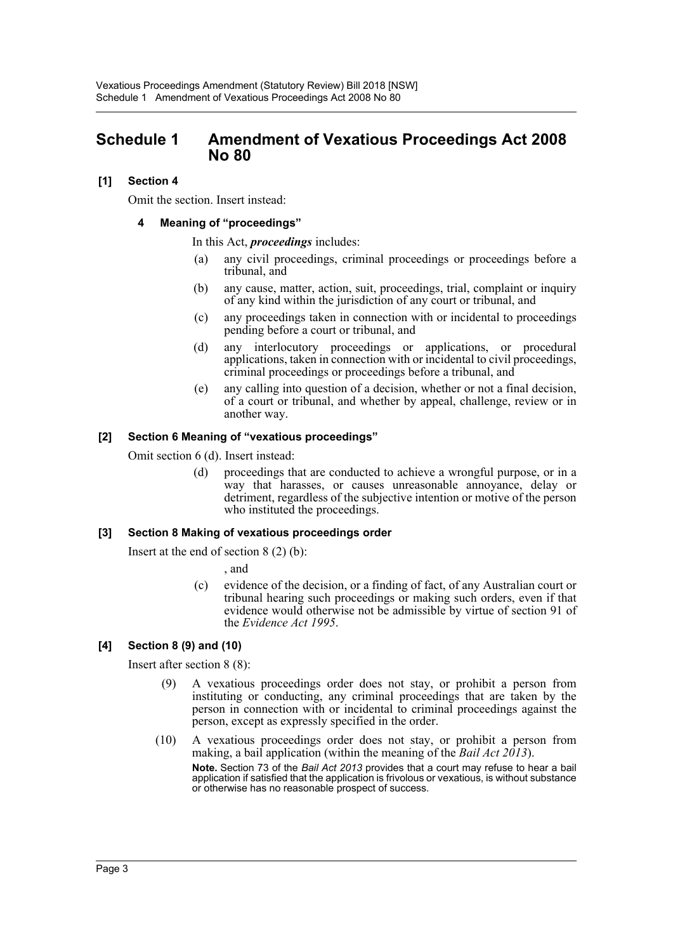# <span id="page-3-0"></span>**Schedule 1 Amendment of Vexatious Proceedings Act 2008 No 80**

## **[1] Section 4**

Omit the section. Insert instead:

#### **4 Meaning of "proceedings"**

In this Act, *proceedings* includes:

- (a) any civil proceedings, criminal proceedings or proceedings before a tribunal, and
- (b) any cause, matter, action, suit, proceedings, trial, complaint or inquiry of any kind within the jurisdiction of any court or tribunal, and
- (c) any proceedings taken in connection with or incidental to proceedings pending before a court or tribunal, and
- (d) any interlocutory proceedings or applications, or procedural applications, taken in connection with or incidental to civil proceedings, criminal proceedings or proceedings before a tribunal, and
- (e) any calling into question of a decision, whether or not a final decision, of a court or tribunal, and whether by appeal, challenge, review or in another way.

#### **[2] Section 6 Meaning of "vexatious proceedings"**

Omit section 6 (d). Insert instead:

(d) proceedings that are conducted to achieve a wrongful purpose, or in a way that harasses, or causes unreasonable annoyance, delay or detriment, regardless of the subjective intention or motive of the person who instituted the proceedings.

## **[3] Section 8 Making of vexatious proceedings order**

Insert at the end of section 8 (2) (b):

, and

(c) evidence of the decision, or a finding of fact, of any Australian court or tribunal hearing such proceedings or making such orders, even if that evidence would otherwise not be admissible by virtue of section 91 of the *Evidence Act 1995*.

## **[4] Section 8 (9) and (10)**

Insert after section 8 (8):

- (9) A vexatious proceedings order does not stay, or prohibit a person from instituting or conducting, any criminal proceedings that are taken by the person in connection with or incidental to criminal proceedings against the person, except as expressly specified in the order.
- (10) A vexatious proceedings order does not stay, or prohibit a person from making, a bail application (within the meaning of the *Bail Act 2013*). **Note.** Section 73 of the *Bail Act 2013* provides that a court may refuse to hear a bail application if satisfied that the application is frivolous or vexatious, is without substance or otherwise has no reasonable prospect of success.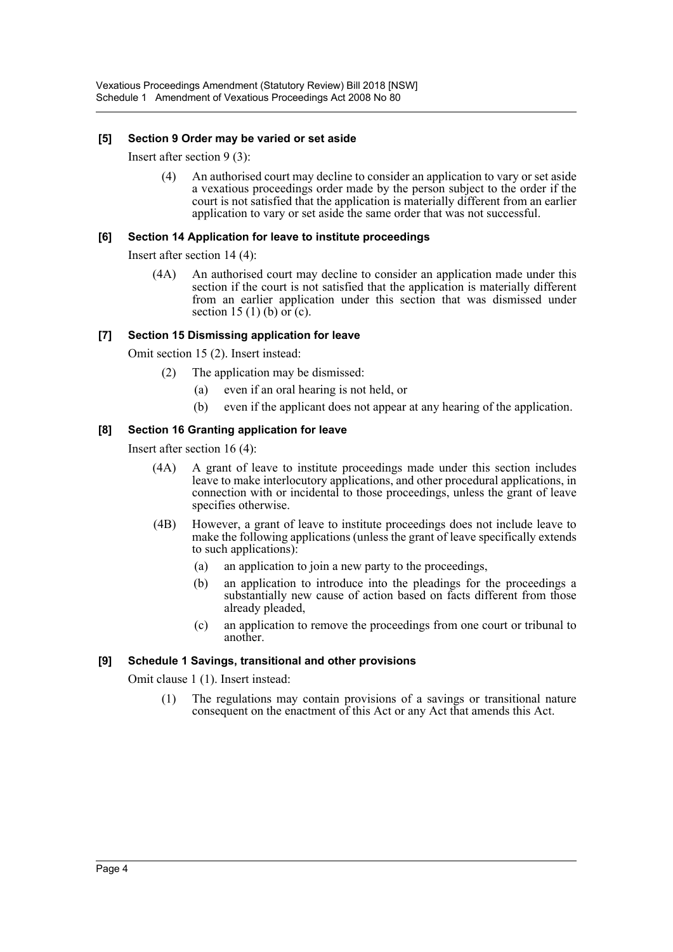#### **[5] Section 9 Order may be varied or set aside**

Insert after section 9 (3):

(4) An authorised court may decline to consider an application to vary or set aside a vexatious proceedings order made by the person subject to the order if the court is not satisfied that the application is materially different from an earlier application to vary or set aside the same order that was not successful.

#### **[6] Section 14 Application for leave to institute proceedings**

Insert after section 14 (4):

(4A) An authorised court may decline to consider an application made under this section if the court is not satisfied that the application is materially different from an earlier application under this section that was dismissed under section 15 (1) (b) or (c).

## **[7] Section 15 Dismissing application for leave**

Omit section 15 (2). Insert instead:

- (2) The application may be dismissed:
	- (a) even if an oral hearing is not held, or
	- (b) even if the applicant does not appear at any hearing of the application.

#### **[8] Section 16 Granting application for leave**

Insert after section 16 (4):

- (4A) A grant of leave to institute proceedings made under this section includes leave to make interlocutory applications, and other procedural applications, in connection with or incidental to those proceedings, unless the grant of leave specifies otherwise.
- (4B) However, a grant of leave to institute proceedings does not include leave to make the following applications (unless the grant of leave specifically extends to such applications):
	- (a) an application to join a new party to the proceedings,
	- (b) an application to introduce into the pleadings for the proceedings a substantially new cause of action based on facts different from those already pleaded,
	- (c) an application to remove the proceedings from one court or tribunal to another.

## **[9] Schedule 1 Savings, transitional and other provisions**

Omit clause 1 (1). Insert instead:

(1) The regulations may contain provisions of a savings or transitional nature consequent on the enactment of this Act or any Act that amends this Act.